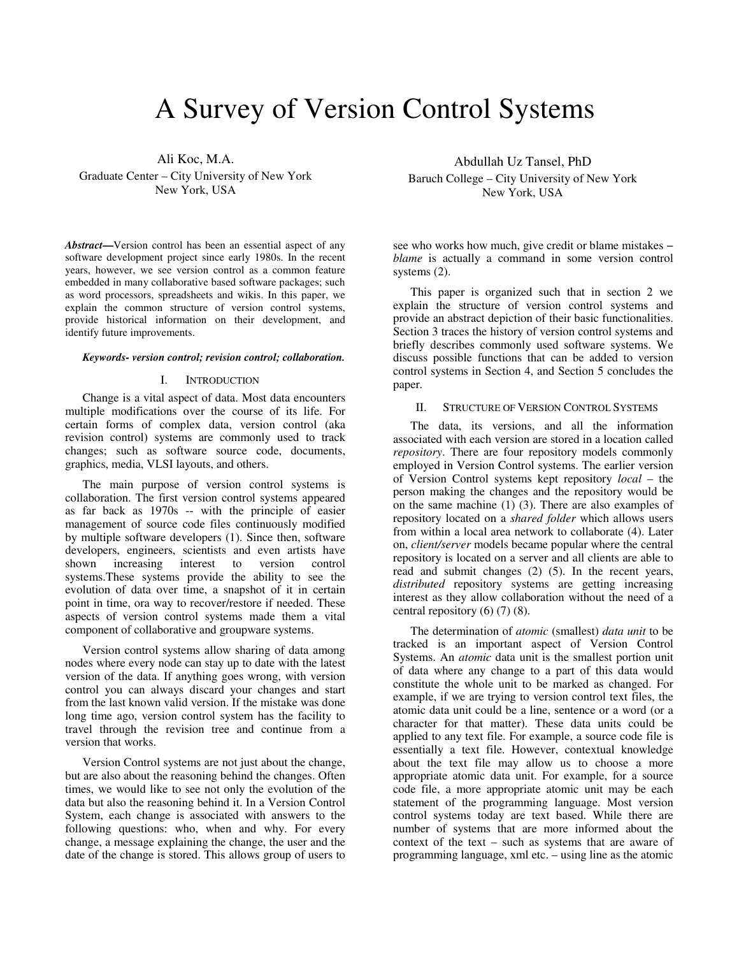# A Survey of Version Control Systems

Ali Koc, M.A. Graduate Center – City University of New York New York, USA

*Abstract***—**Version control has been an essential aspect of any software development project since early 1980s. In the recent years, however, we see version control as a common feature embedded in many collaborative based software packages; such as word processors, spreadsheets and wikis. In this paper, we explain the common structure of version control systems, provide historical information on their development, and identify future improvements.

#### *Keywords- version control; revision control; collaboration.*

## I. INTRODUCTION

Change is a vital aspect of data. Most data encounters multiple modifications over the course of its life. For certain forms of complex data, version control (aka revision control) systems are commonly used to track changes; such as software source code, documents, graphics, media, VLSI layouts, and others.

The main purpose of version control systems is collaboration. The first version control systems appeared as far back as 1970s -- with the principle of easier management of source code files continuously modified by multiple software developers (1). Since then, software developers, engineers, scientists and even artists have shown increasing interest to version control systems.These systems provide the ability to see the evolution of data over time, a snapshot of it in certain point in time, ora way to recover/restore if needed. These aspects of version control systems made them a vital component of collaborative and groupware systems.

Version control systems allow sharing of data among nodes where every node can stay up to date with the latest version of the data. If anything goes wrong, with version control you can always discard your changes and start from the last known valid version. If the mistake was done long time ago, version control system has the facility to travel through the revision tree and continue from a version that works.

Version Control systems are not just about the change, but are also about the reasoning behind the changes. Often times, we would like to see not only the evolution of the data but also the reasoning behind it. In a Version Control System, each change is associated with answers to the following questions: who, when and why. For every change, a message explaining the change, the user and the date of the change is stored. This allows group of users to

Abdullah Uz Tansel, PhD Baruch College – City University of New York New York, USA

see who works how much, give credit or blame mistakes – *blame* is actually a command in some version control systems (2).

This paper is organized such that in section 2 we explain the structure of version control systems and provide an abstract depiction of their basic functionalities. Section 3 traces the history of version control systems and briefly describes commonly used software systems. We discuss possible functions that can be added to version control systems in Section 4, and Section 5 concludes the paper.

## II. STRUCTURE OF VERSION CONTROL SYSTEMS

The data, its versions, and all the information associated with each version are stored in a location called *repository*. There are four repository models commonly employed in Version Control systems. The earlier version of Version Control systems kept repository *local* – the person making the changes and the repository would be on the same machine  $(1)$   $(3)$ . There are also examples of repository located on a *shared folder* which allows users from within a local area network to collaborate (4). Later on, *client/server* models became popular where the central repository is located on a server and all clients are able to read and submit changes (2) (5). In the recent years, *distributed* repository systems are getting increasing interest as they allow collaboration without the need of a central repository  $(6)$   $(7)$   $(8)$ .

The determination of *atomic* (smallest) *data unit* to be tracked is an important aspect of Version Control Systems. An *atomic* data unit is the smallest portion unit of data where any change to a part of this data would constitute the whole unit to be marked as changed. For example, if we are trying to version control text files, the atomic data unit could be a line, sentence or a word (or a character for that matter). These data units could be applied to any text file. For example, a source code file is essentially a text file. However, contextual knowledge about the text file may allow us to choose a more appropriate atomic data unit. For example, for a source code file, a more appropriate atomic unit may be each statement of the programming language. Most version control systems today are text based. While there are number of systems that are more informed about the context of the text – such as systems that are aware of programming language, xml etc. – using line as the atomic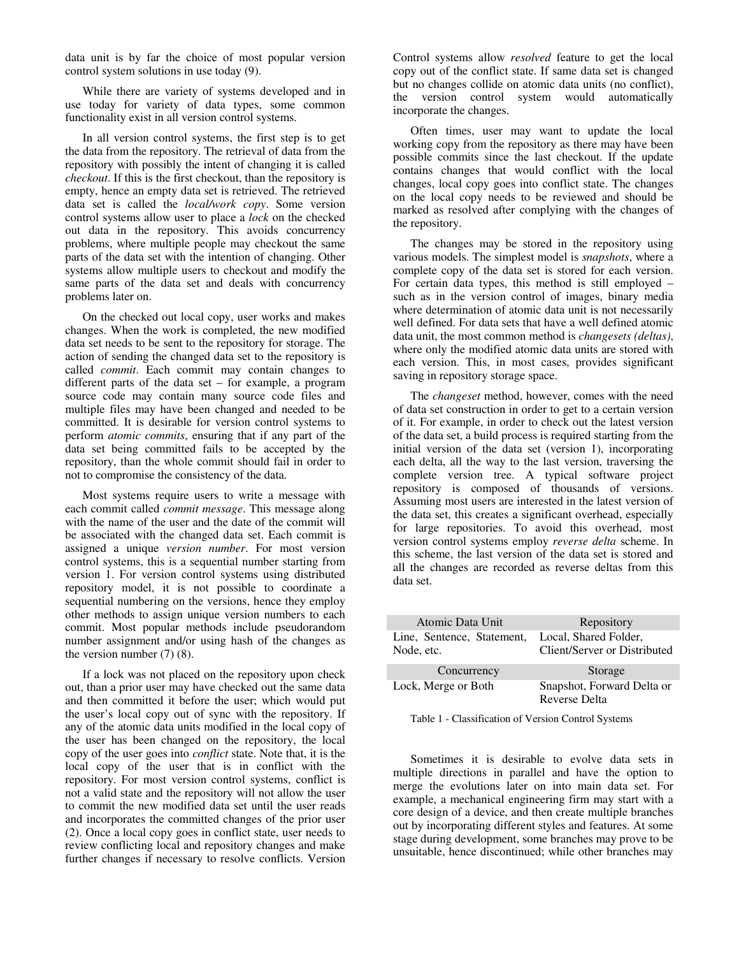data unit is by far the choice of most popular version control system solutions in use today (9).

While there are variety of systems developed and in use today for variety of data types, some common functionality exist in all version control systems.

In all version control systems, the first step is to get the data from the repository. The retrieval of data from the repository with possibly the intent of changing it is called *checkout*. If this is the first checkout, than the repository is empty, hence an empty data set is retrieved. The retrieved data set is called the *local/work copy*. Some version control systems allow user to place a *lock* on the checked out data in the repository. This avoids concurrency problems, where multiple people may checkout the same parts of the data set with the intention of changing. Other systems allow multiple users to checkout and modify the same parts of the data set and deals with concurrency problems later on.

On the checked out local copy, user works and makes changes. When the work is completed, the new modified data set needs to be sent to the repository for storage. The action of sending the changed data set to the repository is called *commit*. Each commit may contain changes to different parts of the data set – for example, a program source code may contain many source code files and multiple files may have been changed and needed to be committed. It is desirable for version control systems to perform *atomic commits*, ensuring that if any part of the data set being committed fails to be accepted by the repository, than the whole commit should fail in order to not to compromise the consistency of the data.

Most systems require users to write a message with each commit called *commit message*. This message along with the name of the user and the date of the commit will be associated with the changed data set. Each commit is assigned a unique *version number*. For most version control systems, this is a sequential number starting from version 1. For version control systems using distributed repository model, it is not possible to coordinate a sequential numbering on the versions, hence they employ other methods to assign unique version numbers to each commit. Most popular methods include pseudorandom number assignment and/or using hash of the changes as the version number  $(7)$   $(8)$ .

If a lock was not placed on the repository upon check out, than a prior user may have checked out the same data and then committed it before the user; which would put the user's local copy out of sync with the repository. If any of the atomic data units modified in the local copy of the user has been changed on the repository, the local copy of the user goes into *conflict* state. Note that, it is the local copy of the user that is in conflict with the repository. For most version control systems, conflict is not a valid state and the repository will not allow the user to commit the new modified data set until the user reads and incorporates the committed changes of the prior user (2). Once a local copy goes in conflict state, user needs to review conflicting local and repository changes and make further changes if necessary to resolve conflicts. Version Control systems allow *resolved* feature to get the local copy out of the conflict state. If same data set is changed but no changes collide on atomic data units (no conflict), the version control system would automatically incorporate the changes.

Often times, user may want to update the local working copy from the repository as there may have been possible commits since the last checkout. If the update contains changes that would conflict with the local changes, local copy goes into conflict state. The changes on the local copy needs to be reviewed and should be marked as resolved after complying with the changes of the repository.

The changes may be stored in the repository using various models. The simplest model is *snapshots*, where a complete copy of the data set is stored for each version. For certain data types, this method is still employed – such as in the version control of images, binary media where determination of atomic data unit is not necessarily well defined. For data sets that have a well defined atomic data unit, the most common method is *changesets (deltas)*, where only the modified atomic data units are stored with each version. This, in most cases, provides significant saving in repository storage space.

The *changeset* method, however, comes with the need of data set construction in order to get to a certain version of it. For example, in order to check out the latest version of the data set, a build process is required starting from the initial version of the data set (version 1), incorporating each delta, all the way to the last version, traversing the complete version tree. A typical software project repository is composed of thousands of versions. Assuming most users are interested in the latest version of the data set, this creates a significant overhead, especially for large repositories. To avoid this overhead, most version control systems employ *reverse delta* scheme. In this scheme, the last version of the data set is stored and all the changes are recorded as reverse deltas from this data set.

| Atomic Data Unit           | Repository                                  |  |
|----------------------------|---------------------------------------------|--|
| Line, Sentence, Statement, | Local, Shared Folder,                       |  |
| Node, etc.                 | Client/Server or Distributed                |  |
| Concurrency                | Storage                                     |  |
| Lock, Merge or Both        | Snapshot, Forward Delta or<br>Reverse Delta |  |

Table 1 - Classification of Version Control Systems

Sometimes it is desirable to evolve data sets in multiple directions in parallel and have the option to merge the evolutions later on into main data set. For example, a mechanical engineering firm may start with a core design of a device, and then create multiple branches out by incorporating different styles and features. At some stage during development, some branches may prove to be unsuitable, hence discontinued; while other branches may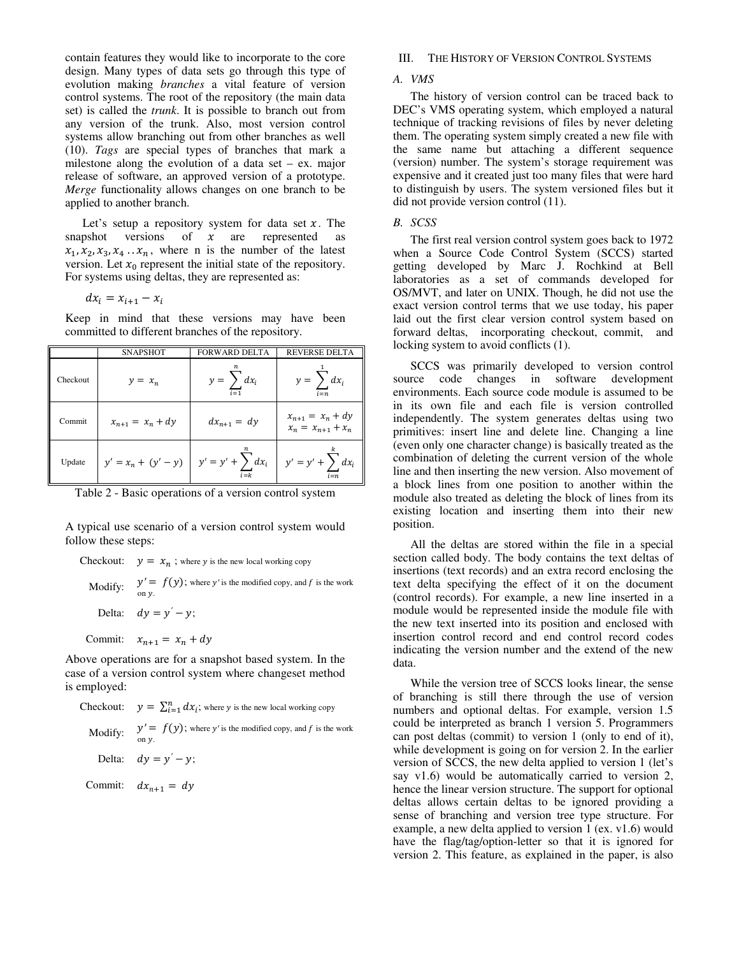contain features they would like to incorporate to the core design. Many types of data sets go through this type of evolution making *branches* a vital feature of version control systems. The root of the repository (the main data set) is called the *trunk*. It is possible to branch out from any version of the trunk. Also, most version control systems allow branching out from other branches as well (10). *Tags* are special types of branches that mark a milestone along the evolution of a data set – ex. major release of software, an approved version of a prototype. *Merge* functionality allows changes on one branch to be applied to another branch.

Let's setup a repository system for data set  $x$ . The snapshot versions of  $x$  are represented as versions of  $x$  are represented as  $x_1, x_2, x_3, x_4 \ldots x_n$ , where n is the number of the latest version. Let  $x_0$  represent the initial state of the repository. For systems using deltas, they are represented as:

$$
dx_i = x_{i+1} - x_i
$$

Keep in mind that these versions may have been committed to different branches of the repository.

|          | <b>SNAPSHOT</b>                             | <b>FORWARD DELTA</b>                | <b>REVERSE DELTA</b>                          |
|----------|---------------------------------------------|-------------------------------------|-----------------------------------------------|
| Checkout | $y = x_n$                                   | $y = \sum dx_i$<br>$\overline{i=1}$ | $y = \sum dx_i$<br>$i = n$                    |
| Commit   | $x_{n+1} = x_n + dy$                        | $dx_{n+1} = dy$                     | $x_{n+1} = x_n + dy$<br>$x_n = x_{n+1} + x_n$ |
| Update   | $y' = x_n + (y' - y)$ $y' = y' + \sum dx_i$ |                                     | $y' = y' + \sum dx_i$                         |

Table 2 - Basic operations of a version control system

A typical use scenario of a version control system would follow these steps:

Checkout:  $y = x_n$ ; where y is the new local working copy Modify:  $y' = f(y)$ ; where y' is the modified copy, and f is the work on y. Delta:  $dy = y' - y$ ;

Commit:  $x_{n+1} = x_n + dy$ 

Above operations are for a snapshot based system. In the case of a version control system where changeset method is employed:

**Checkout:** 
$$
y = \sum_{i=1}^{n} dx_i
$$
; where *y* is the new local working copy. Modify:  $y' = f(y)$ ; where *y'* is the modified copy, and *f* is the work on *y*. Delta:  $dy = y' - y$ ;

Commit:  $dx_{n+1} = dy$ 

## III. THE HISTORY OF VERSION CONTROL SYSTEMS

#### *A. VMS*

The history of version control can be traced back to DEC's VMS operating system, which employed a natural technique of tracking revisions of files by never deleting them. The operating system simply created a new file with the same name but attaching a different sequence (version) number. The system's storage requirement was expensive and it created just too many files that were hard to distinguish by users. The system versioned files but it did not provide version control (11).

#### *B. SCSS*

The first real version control system goes back to 1972 when a Source Code Control System (SCCS) started getting developed by Marc J. Rochkind at Bell laboratories as a set of commands developed for OS/MVT, and later on UNIX. Though, he did not use the exact version control terms that we use today, his paper laid out the first clear version control system based on forward deltas, incorporating checkout, commit, and locking system to avoid conflicts (1).

SCCS was primarily developed to version control source code changes in software development environments. Each source code module is assumed to be in its own file and each file is version controlled independently. The system generates deltas using two primitives: insert line and delete line. Changing a line (even only one character change) is basically treated as the combination of deleting the current version of the whole line and then inserting the new version. Also movement of a block lines from one position to another within the module also treated as deleting the block of lines from its existing location and inserting them into their new position.

All the deltas are stored within the file in a special section called body. The body contains the text deltas of insertions (text records) and an extra record enclosing the text delta specifying the effect of it on the document (control records). For example, a new line inserted in a module would be represented inside the module file with the new text inserted into its position and enclosed with insertion control record and end control record codes indicating the version number and the extend of the new data.

While the version tree of SCCS looks linear, the sense of branching is still there through the use of version numbers and optional deltas. For example, version 1.5 could be interpreted as branch 1 version 5. Programmers can post deltas (commit) to version 1 (only to end of it), while development is going on for version 2. In the earlier version of SCCS, the new delta applied to version 1 (let's say v1.6) would be automatically carried to version 2, hence the linear version structure. The support for optional deltas allows certain deltas to be ignored providing a sense of branching and version tree type structure. For example, a new delta applied to version 1 (ex. v1.6) would have the flag/tag/option-letter so that it is ignored for version 2. This feature, as explained in the paper, is also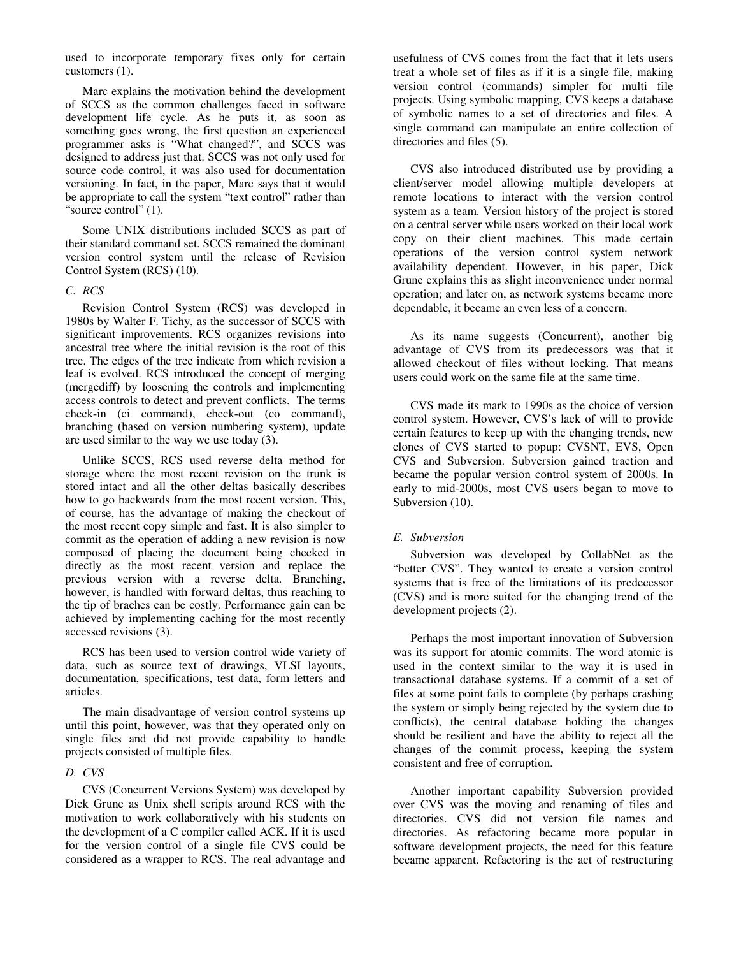used to incorporate temporary fixes only for certain customers (1).

Marc explains the motivation behind the development of SCCS as the common challenges faced in software development life cycle. As he puts it, as soon as something goes wrong, the first question an experienced programmer asks is "What changed?", and SCCS was designed to address just that. SCCS was not only used for source code control, it was also used for documentation versioning. In fact, in the paper, Marc says that it would be appropriate to call the system "text control" rather than "source control" (1).

Some UNIX distributions included SCCS as part of their standard command set. SCCS remained the dominant version control system until the release of Revision Control System (RCS) (10).

## *C. RCS*

Revision Control System (RCS) was developed in 1980s by Walter F. Tichy, as the successor of SCCS with significant improvements. RCS organizes revisions into ancestral tree where the initial revision is the root of this tree. The edges of the tree indicate from which revision a leaf is evolved. RCS introduced the concept of merging (mergediff) by loosening the controls and implementing access controls to detect and prevent conflicts. The terms check-in (ci command), check-out (co command), branching (based on version numbering system), update are used similar to the way we use today (3).

Unlike SCCS, RCS used reverse delta method for storage where the most recent revision on the trunk is stored intact and all the other deltas basically describes how to go backwards from the most recent version. This, of course, has the advantage of making the checkout of the most recent copy simple and fast. It is also simpler to commit as the operation of adding a new revision is now composed of placing the document being checked in directly as the most recent version and replace the previous version with a reverse delta. Branching, however, is handled with forward deltas, thus reaching to the tip of braches can be costly. Performance gain can be achieved by implementing caching for the most recently accessed revisions (3).

RCS has been used to version control wide variety of data, such as source text of drawings, VLSI layouts, documentation, specifications, test data, form letters and articles.

The main disadvantage of version control systems up until this point, however, was that they operated only on single files and did not provide capability to handle projects consisted of multiple files.

## *D. CVS*

CVS (Concurrent Versions System) was developed by Dick Grune as Unix shell scripts around RCS with the motivation to work collaboratively with his students on the development of a C compiler called ACK. If it is used for the version control of a single file CVS could be considered as a wrapper to RCS. The real advantage and usefulness of CVS comes from the fact that it lets users treat a whole set of files as if it is a single file, making version control (commands) simpler for multi file projects. Using symbolic mapping, CVS keeps a database of symbolic names to a set of directories and files. A single command can manipulate an entire collection of directories and files (5).

CVS also introduced distributed use by providing a client/server model allowing multiple developers at remote locations to interact with the version control system as a team. Version history of the project is stored on a central server while users worked on their local work copy on their client machines. This made certain operations of the version control system network availability dependent. However, in his paper, Dick Grune explains this as slight inconvenience under normal operation; and later on, as network systems became more dependable, it became an even less of a concern.

As its name suggests (Concurrent), another big advantage of CVS from its predecessors was that it allowed checkout of files without locking. That means users could work on the same file at the same time.

CVS made its mark to 1990s as the choice of version control system. However, CVS's lack of will to provide certain features to keep up with the changing trends, new clones of CVS started to popup: CVSNT, EVS, Open CVS and Subversion. Subversion gained traction and became the popular version control system of 2000s. In early to mid-2000s, most CVS users began to move to Subversion  $(10)$ .

## *E. Subversion*

Subversion was developed by CollabNet as the "better CVS". They wanted to create a version control systems that is free of the limitations of its predecessor (CVS) and is more suited for the changing trend of the development projects (2).

Perhaps the most important innovation of Subversion was its support for atomic commits. The word atomic is used in the context similar to the way it is used in transactional database systems. If a commit of a set of files at some point fails to complete (by perhaps crashing the system or simply being rejected by the system due to conflicts), the central database holding the changes should be resilient and have the ability to reject all the changes of the commit process, keeping the system consistent and free of corruption.

Another important capability Subversion provided over CVS was the moving and renaming of files and directories. CVS did not version file names and directories. As refactoring became more popular in software development projects, the need for this feature became apparent. Refactoring is the act of restructuring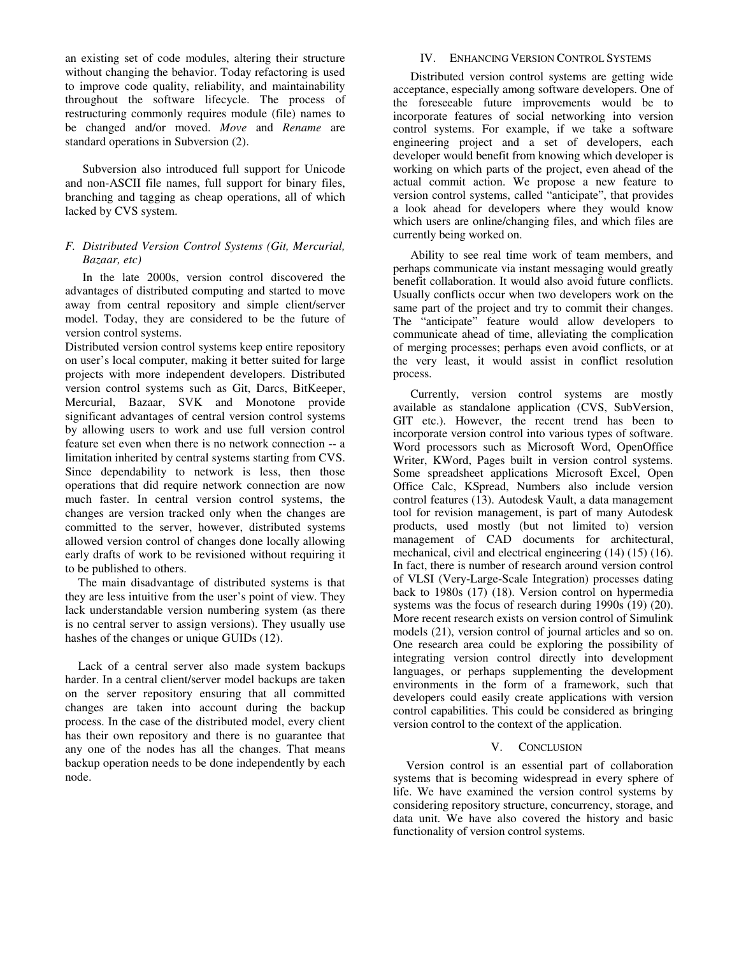an existing set of code modules, altering their structure without changing the behavior. Today refactoring is used to improve code quality, reliability, and maintainability throughout the software lifecycle. The process of restructuring commonly requires module (file) names to be changed and/or moved. *Move* and *Rename* are standard operations in Subversion (2).

Subversion also introduced full support for Unicode and non-ASCII file names, full support for binary files, branching and tagging as cheap operations, all of which lacked by CVS system.

## *F. Distributed Version Control Systems (Git, Mercurial, Bazaar, etc)*

In the late 2000s, version control discovered the advantages of distributed computing and started to move away from central repository and simple client/server model. Today, they are considered to be the future of version control systems.

Distributed version control systems keep entire repository on user's local computer, making it better suited for large projects with more independent developers. Distributed version control systems such as Git, Darcs, BitKeeper, Mercurial, Bazaar, SVK and Monotone provide significant advantages of central version control systems by allowing users to work and use full version control feature set even when there is no network connection -- a limitation inherited by central systems starting from CVS. Since dependability to network is less, then those operations that did require network connection are now much faster. In central version control systems, the changes are version tracked only when the changes are committed to the server, however, distributed systems allowed version control of changes done locally allowing early drafts of work to be revisioned without requiring it to be published to others.

The main disadvantage of distributed systems is that they are less intuitive from the user's point of view. They lack understandable version numbering system (as there is no central server to assign versions). They usually use hashes of the changes or unique GUIDs (12).

Lack of a central server also made system backups harder. In a central client/server model backups are taken on the server repository ensuring that all committed changes are taken into account during the backup process. In the case of the distributed model, every client has their own repository and there is no guarantee that any one of the nodes has all the changes. That means backup operation needs to be done independently by each node.

## IV. ENHANCING VERSION CONTROL SYSTEMS

Distributed version control systems are getting wide acceptance, especially among software developers. One of the foreseeable future improvements would be to incorporate features of social networking into version control systems. For example, if we take a software engineering project and a set of developers, each developer would benefit from knowing which developer is working on which parts of the project, even ahead of the actual commit action. We propose a new feature to version control systems, called "anticipate", that provides a look ahead for developers where they would know which users are online/changing files, and which files are currently being worked on.

Ability to see real time work of team members, and perhaps communicate via instant messaging would greatly benefit collaboration. It would also avoid future conflicts. Usually conflicts occur when two developers work on the same part of the project and try to commit their changes. The "anticipate" feature would allow developers to communicate ahead of time, alleviating the complication of merging processes; perhaps even avoid conflicts, or at the very least, it would assist in conflict resolution process.

Currently, version control systems are mostly available as standalone application (CVS, SubVersion, GIT etc.). However, the recent trend has been to incorporate version control into various types of software. Word processors such as Microsoft Word, OpenOffice Writer, KWord, Pages built in version control systems. Some spreadsheet applications Microsoft Excel, Open Office Calc, KSpread, Numbers also include version control features (13). Autodesk Vault, a data management tool for revision management, is part of many Autodesk products, used mostly (but not limited to) version management of CAD documents for architectural, mechanical, civil and electrical engineering (14) (15) (16). In fact, there is number of research around version control of VLSI (Very-Large-Scale Integration) processes dating back to 1980s (17) (18). Version control on hypermedia systems was the focus of research during 1990s (19) (20). More recent research exists on version control of Simulink models (21), version control of journal articles and so on. One research area could be exploring the possibility of integrating version control directly into development languages, or perhaps supplementing the development environments in the form of a framework, such that developers could easily create applications with version control capabilities. This could be considered as bringing version control to the context of the application.

## V. CONCLUSION

Version control is an essential part of collaboration systems that is becoming widespread in every sphere of life. We have examined the version control systems by considering repository structure, concurrency, storage, and data unit. We have also covered the history and basic functionality of version control systems.